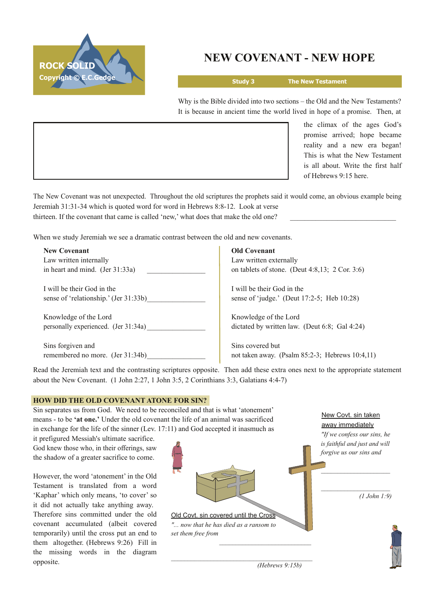

# **NEW COVENANT NEW HOPE**

**Study 3 The New Testament**

the climax of the ages God's promise arrived; hope became reality and a new era began! This is what the New Testament is all about. Write the first half

New Covt. sin taken

of Hebrews 9:15 here.

Why is the Bible divided into two sections – the Old and the New Testaments? It is because in ancient time the world lived in hope of a promise. Then, at

The New Covenant was not unexpected. Throughout the old scriptures the prophets said it would come, an obvious example being Jeremiah 31:31-34 which is quoted word for word in Hebrews 8:8-12. Look at verse thirteen. If the covenant that came is called 'new,' what does that make the old one?

When we study Jeremiah we see a dramatic contrast between the old and new covenants.

| <b>New Covenant</b>                   | <b>Old Covenant</b>                                    |
|---------------------------------------|--------------------------------------------------------|
| Law written internally                | Law written externally                                 |
| in heart and mind. (Jer 31:33a)       | on tablets of stone. (Deut $4:8,13$ ; $2$ Cor. $3:6$ ) |
| I will be their God in the            | I will be their God in the                             |
| sense of 'relationship.' (Jer 31:33b) | sense of 'judge.' (Deut 17:2-5; Heb 10:28)             |
| Knowledge of the Lord                 | Knowledge of the Lord                                  |
| personally experienced. (Jer 31:34a)  | dictated by written law. (Deut 6:8; Gal 4:24)          |
| Sins forgiven and                     | Sins covered but                                       |
| remembered no more. (Jer 31:34b)      | not taken away. (Psalm $85:2-3$ ; Hebrews $10:4,11$ )  |

Read the Jeremiah text and the contrasting scriptures opposite. Then add these extra ones next to the appropriate statement about the New Covenant. (1 John 2:27, 1 John 3:5, 2 Corinthians 3:3, Galatians 4:47)

## **HOW DID THE OLD COVENANT ATONE FOR SIN?**

Sin separates us from God. We need to be reconciled and that is what 'atonement' means to be **'at one.'** Under the old covenant the life of an animal was sacrificed in exchange for the life of the sinner (Lev. 17:11) and God accepted it inasmuch as

it prefigured Messiah's ultimate sacrifice. God knew those who, in their offerings, saw the shadow of a greater sacrifice to come.

However, the word 'atonement' in the Old Testament is translated from a word 'Kaphar' which only means, 'to cover' so it did not actually take anything away. Therefore sins committed under the old covenant accumulated (albeit covered temporarily) until the cross put an end to them altogether. (Hebrews 9:26) Fill in the missing words in the diagram opposite.



*(Hebrews 9:15b)*